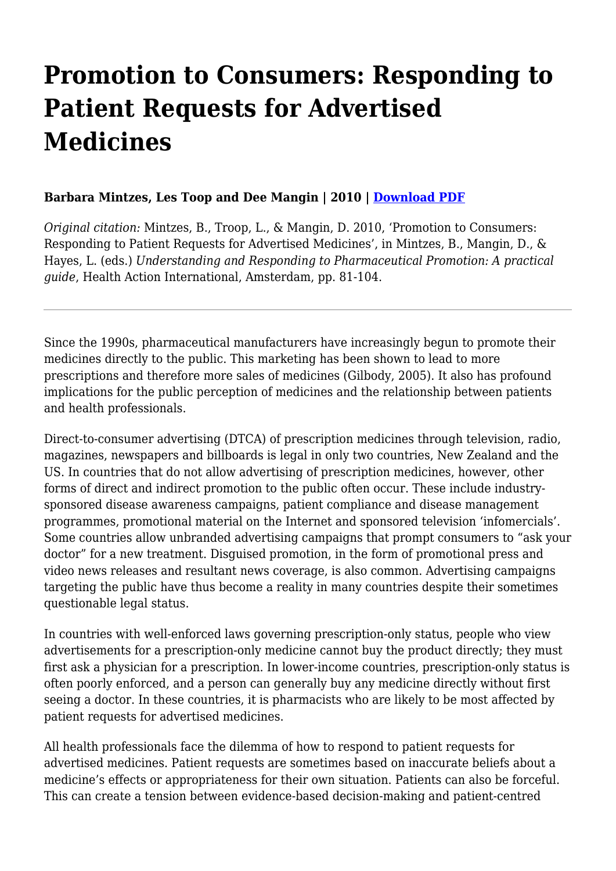# **Promotion to Consumers: Responding to Patient Requests for Advertised Medicines**

#### **Barbara Mintzes, Les Toop and Dee Mangin | 2010 | [Download PDF](https://haiweb.org/wp-content/uploads/2020/01/Promotion-to-Consumers.pdf)**

*Original citation:* Mintzes, B., Troop, L., & Mangin, D. 2010, 'Promotion to Consumers: Responding to Patient Requests for Advertised Medicines', in Mintzes, B., Mangin, D., & Hayes, L. (eds.) *Understanding and Responding to Pharmaceutical Promotion: A practical guide*, Health Action International, Amsterdam, pp. 81-104.

Since the 1990s, pharmaceutical manufacturers have increasingly begun to promote their medicines directly to the public. This marketing has been shown to lead to more prescriptions and therefore more sales of medicines (Gilbody, 2005). It also has profound implications for the public perception of medicines and the relationship between patients and health professionals.

Direct-to-consumer advertising (DTCA) of prescription medicines through television, radio, magazines, newspapers and billboards is legal in only two countries, New Zealand and the US. In countries that do not allow advertising of prescription medicines, however, other forms of direct and indirect promotion to the public often occur. These include industrysponsored disease awareness campaigns, patient compliance and disease management programmes, promotional material on the Internet and sponsored television 'infomercials'. Some countries allow unbranded advertising campaigns that prompt consumers to "ask your doctor" for a new treatment. Disguised promotion, in the form of promotional press and video news releases and resultant news coverage, is also common. Advertising campaigns targeting the public have thus become a reality in many countries despite their sometimes questionable legal status.

In countries with well-enforced laws governing prescription-only status, people who view advertisements for a prescription-only medicine cannot buy the product directly; they must first ask a physician for a prescription. In lower-income countries, prescription-only status is often poorly enforced, and a person can generally buy any medicine directly without first seeing a doctor. In these countries, it is pharmacists who are likely to be most affected by patient requests for advertised medicines.

All health professionals face the dilemma of how to respond to patient requests for advertised medicines. Patient requests are sometimes based on inaccurate beliefs about a medicine's effects or appropriateness for their own situation. Patients can also be forceful. This can create a tension between evidence-based decision-making and patient-centred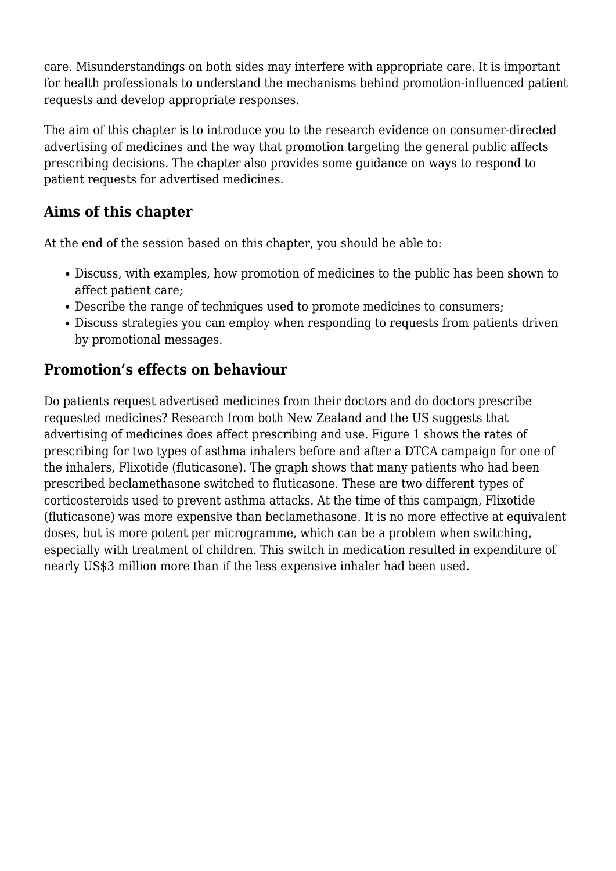care. Misunderstandings on both sides may interfere with appropriate care. It is important for health professionals to understand the mechanisms behind promotion-influenced patient requests and develop appropriate responses.

The aim of this chapter is to introduce you to the research evidence on consumer-directed advertising of medicines and the way that promotion targeting the general public affects prescribing decisions. The chapter also provides some guidance on ways to respond to patient requests for advertised medicines.

### **Aims of this chapter**

At the end of the session based on this chapter, you should be able to:

- Discuss, with examples, how promotion of medicines to the public has been shown to affect patient care;
- Describe the range of techniques used to promote medicines to consumers;
- Discuss strategies you can employ when responding to requests from patients driven by promotional messages.

### **Promotion's effects on behaviour**

Do patients request advertised medicines from their doctors and do doctors prescribe requested medicines? Research from both New Zealand and the US suggests that advertising of medicines does affect prescribing and use. Figure 1 shows the rates of prescribing for two types of asthma inhalers before and after a DTCA campaign for one of the inhalers, Flixotide (fluticasone). The graph shows that many patients who had been prescribed beclamethasone switched to fluticasone. These are two different types of corticosteroids used to prevent asthma attacks. At the time of this campaign, Flixotide (fluticasone) was more expensive than beclamethasone. It is no more effective at equivalent doses, but is more potent per microgramme, which can be a problem when switching, especially with treatment of children. This switch in medication resulted in expenditure of nearly US\$3 million more than if the less expensive inhaler had been used.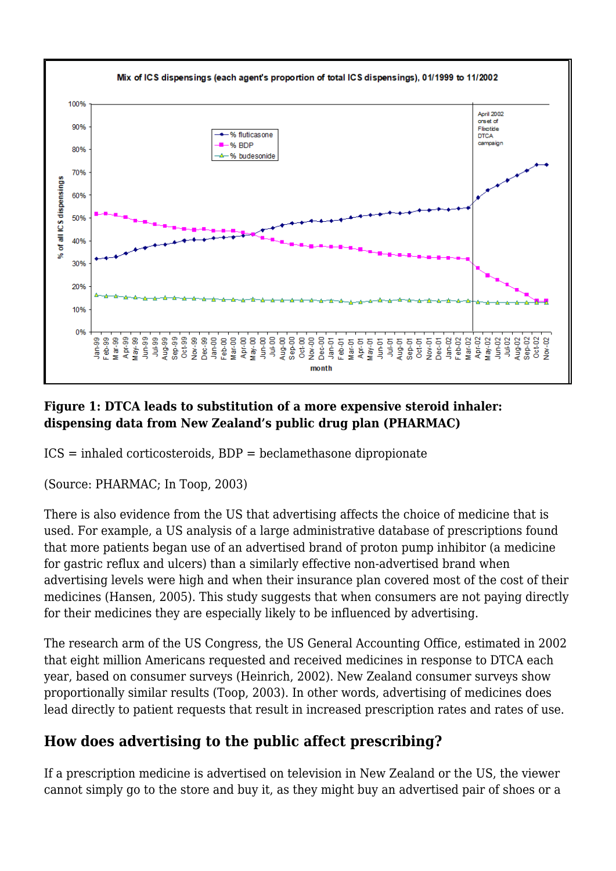

#### **Figure 1: DTCA leads to substitution of a more expensive steroid inhaler: dispensing data from New Zealand's public drug plan (PHARMAC)**

ICS = inhaled corticosteroids, BDP = beclamethasone dipropionate

(Source: PHARMAC; In Toop, 2003)

There is also evidence from the US that advertising affects the choice of medicine that is used. For example, a US analysis of a large administrative database of prescriptions found that more patients began use of an advertised brand of proton pump inhibitor (a medicine for gastric reflux and ulcers) than a similarly effective non-advertised brand when advertising levels were high and when their insurance plan covered most of the cost of their medicines (Hansen, 2005). This study suggests that when consumers are not paying directly for their medicines they are especially likely to be influenced by advertising.

The research arm of the US Congress, the US General Accounting Office, estimated in 2002 that eight million Americans requested and received medicines in response to DTCA each year, based on consumer surveys (Heinrich, 2002). New Zealand consumer surveys show proportionally similar results (Toop, 2003). In other words, advertising of medicines does lead directly to patient requests that result in increased prescription rates and rates of use.

### **How does advertising to the public affect prescribing?**

If a prescription medicine is advertised on television in New Zealand or the US, the viewer cannot simply go to the store and buy it, as they might buy an advertised pair of shoes or a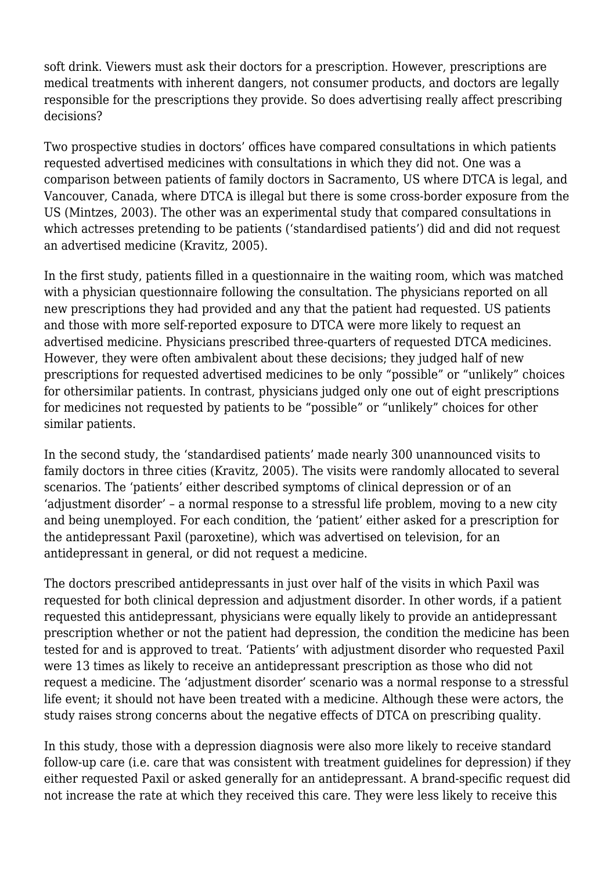soft drink. Viewers must ask their doctors for a prescription. However, prescriptions are medical treatments with inherent dangers, not consumer products, and doctors are legally responsible for the prescriptions they provide. So does advertising really affect prescribing decisions?

Two prospective studies in doctors' offices have compared consultations in which patients requested advertised medicines with consultations in which they did not. One was a comparison between patients of family doctors in Sacramento, US where DTCA is legal, and Vancouver, Canada, where DTCA is illegal but there is some cross-border exposure from the US (Mintzes, 2003). The other was an experimental study that compared consultations in which actresses pretending to be patients ('standardised patients') did and did not request an advertised medicine (Kravitz, 2005).

In the first study, patients filled in a questionnaire in the waiting room, which was matched with a physician questionnaire following the consultation. The physicians reported on all new prescriptions they had provided and any that the patient had requested. US patients and those with more self-reported exposure to DTCA were more likely to request an advertised medicine. Physicians prescribed three-quarters of requested DTCA medicines. However, they were often ambivalent about these decisions; they judged half of new prescriptions for requested advertised medicines to be only "possible" or "unlikely" choices for othersimilar patients. In contrast, physicians judged only one out of eight prescriptions for medicines not requested by patients to be "possible" or "unlikely" choices for other similar patients.

In the second study, the 'standardised patients' made nearly 300 unannounced visits to family doctors in three cities (Kravitz, 2005). The visits were randomly allocated to several scenarios. The 'patients' either described symptoms of clinical depression or of an 'adjustment disorder' – a normal response to a stressful life problem, moving to a new city and being unemployed. For each condition, the 'patient' either asked for a prescription for the antidepressant Paxil (paroxetine), which was advertised on television, for an antidepressant in general, or did not request a medicine.

The doctors prescribed antidepressants in just over half of the visits in which Paxil was requested for both clinical depression and adjustment disorder. In other words, if a patient requested this antidepressant, physicians were equally likely to provide an antidepressant prescription whether or not the patient had depression, the condition the medicine has been tested for and is approved to treat. 'Patients' with adjustment disorder who requested Paxil were 13 times as likely to receive an antidepressant prescription as those who did not request a medicine. The 'adjustment disorder' scenario was a normal response to a stressful life event; it should not have been treated with a medicine. Although these were actors, the study raises strong concerns about the negative effects of DTCA on prescribing quality.

In this study, those with a depression diagnosis were also more likely to receive standard follow-up care (i.e. care that was consistent with treatment guidelines for depression) if they either requested Paxil or asked generally for an antidepressant. A brand-specific request did not increase the rate at which they received this care. They were less likely to receive this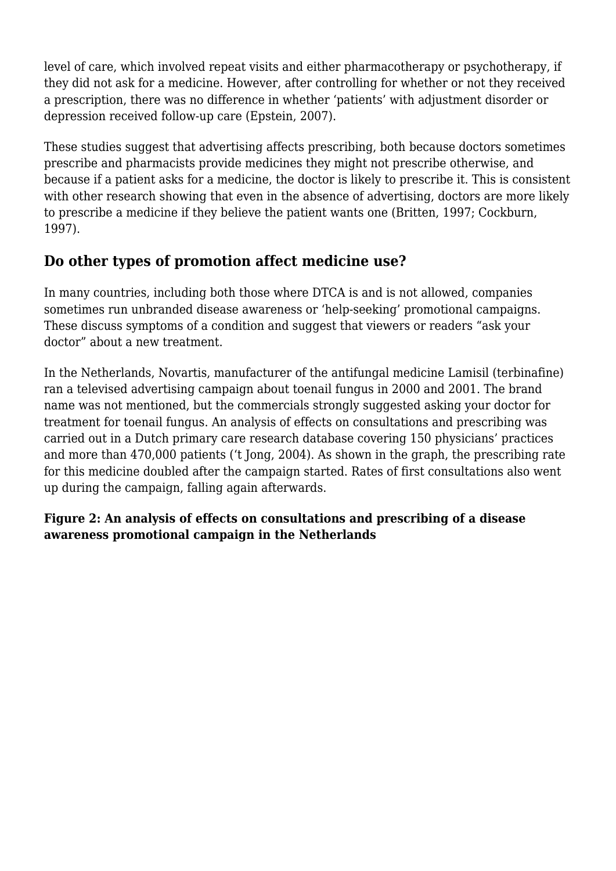level of care, which involved repeat visits and either pharmacotherapy or psychotherapy, if they did not ask for a medicine. However, after controlling for whether or not they received a prescription, there was no difference in whether 'patients' with adjustment disorder or depression received follow-up care (Epstein, 2007).

These studies suggest that advertising affects prescribing, both because doctors sometimes prescribe and pharmacists provide medicines they might not prescribe otherwise, and because if a patient asks for a medicine, the doctor is likely to prescribe it. This is consistent with other research showing that even in the absence of advertising, doctors are more likely to prescribe a medicine if they believe the patient wants one (Britten, 1997; Cockburn, 1997).

### **Do other types of promotion affect medicine use?**

In many countries, including both those where DTCA is and is not allowed, companies sometimes run unbranded disease awareness or 'help-seeking' promotional campaigns. These discuss symptoms of a condition and suggest that viewers or readers "ask your doctor" about a new treatment.

In the Netherlands, Novartis, manufacturer of the antifungal medicine Lamisil (terbinafine) ran a televised advertising campaign about toenail fungus in 2000 and 2001. The brand name was not mentioned, but the commercials strongly suggested asking your doctor for treatment for toenail fungus. An analysis of effects on consultations and prescribing was carried out in a Dutch primary care research database covering 150 physicians' practices and more than 470,000 patients ('t Jong, 2004). As shown in the graph, the prescribing rate for this medicine doubled after the campaign started. Rates of first consultations also went up during the campaign, falling again afterwards.

#### **Figure 2: An analysis of effects on consultations and prescribing of a disease awareness promotional campaign in the Netherlands**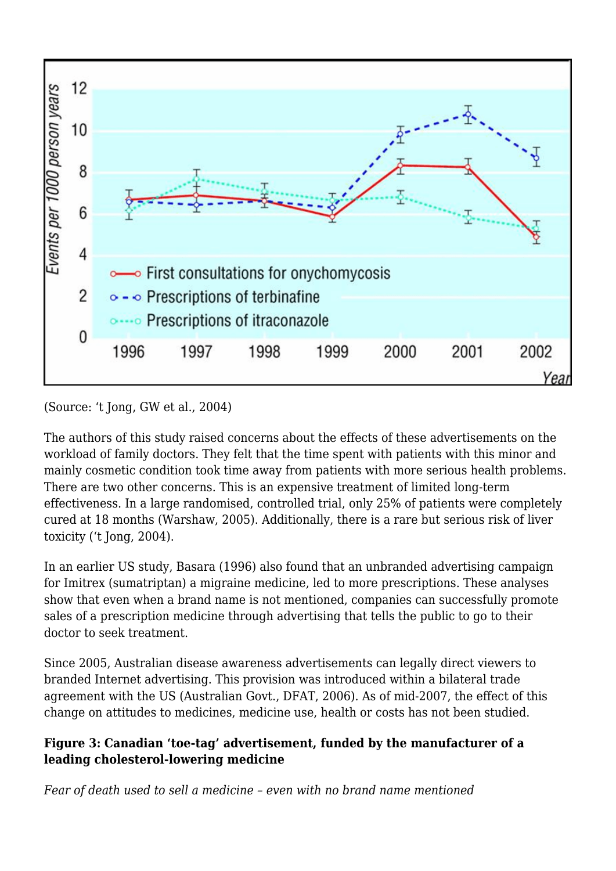

(Source: 't Jong, GW et al., 2004)

The authors of this study raised concerns about the effects of these advertisements on the workload of family doctors. They felt that the time spent with patients with this minor and mainly cosmetic condition took time away from patients with more serious health problems. There are two other concerns. This is an expensive treatment of limited long-term effectiveness. In a large randomised, controlled trial, only 25% of patients were completely cured at 18 months (Warshaw, 2005). Additionally, there is a rare but serious risk of liver toxicity ('t Jong, 2004).

In an earlier US study, Basara (1996) also found that an unbranded advertising campaign for Imitrex (sumatriptan) a migraine medicine, led to more prescriptions. These analyses show that even when a brand name is not mentioned, companies can successfully promote sales of a prescription medicine through advertising that tells the public to go to their doctor to seek treatment.

Since 2005, Australian disease awareness advertisements can legally direct viewers to branded Internet advertising. This provision was introduced within a bilateral trade agreement with the US (Australian Govt., DFAT, 2006). As of mid-2007, the effect of this change on attitudes to medicines, medicine use, health or costs has not been studied.

#### **Figure 3: Canadian 'toe-tag' advertisement, funded by the manufacturer of a leading cholesterol-lowering medicine**

*Fear of death used to sell a medicine – even with no brand name mentioned*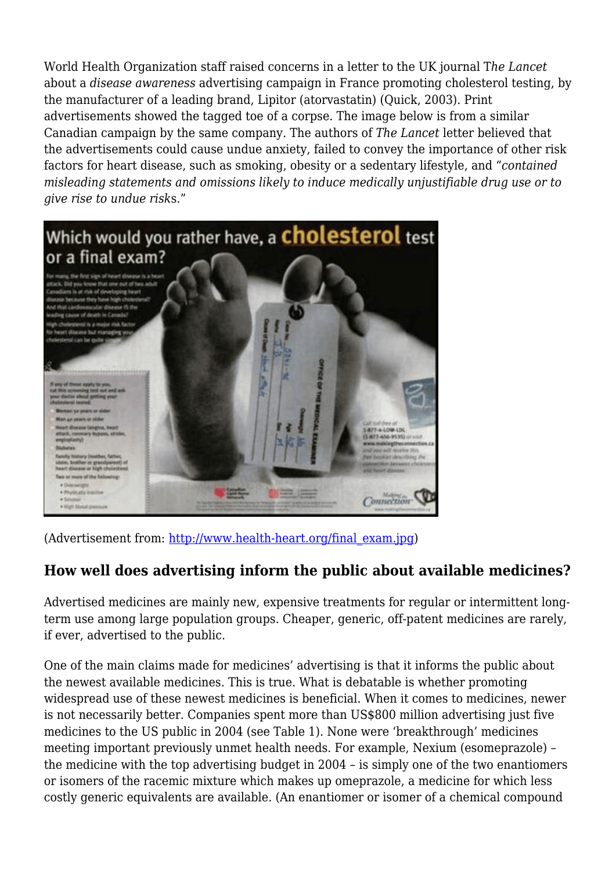World Health Organization staff raised concerns in a letter to the UK journal T*he Lancet* about a *disease awareness* advertising campaign in France promoting cholesterol testing, by the manufacturer of a leading brand, Lipitor (atorvastatin) (Quick, 2003). Print advertisements showed the tagged toe of a corpse. The image below is from a similar Canadian campaign by the same company. The authors of *The Lancet* letter believed that the advertisements could cause undue anxiety, failed to convey the importance of other risk factors for heart disease, such as smoking, obesity or a sedentary lifestyle, and "*contained misleading statements and omissions likely to induce medically unjustifiable drug use or to give rise to undue risk*s."



(Advertisement from: [http://www.health-heart.org/final\\_exam.jpg](http://www.health-heart.org/final_exam.jpg))

### **How well does advertising inform the public about available medicines?**

Advertised medicines are mainly new, expensive treatments for regular or intermittent longterm use among large population groups. Cheaper, generic, off-patent medicines are rarely, if ever, advertised to the public.

One of the main claims made for medicines' advertising is that it informs the public about the newest available medicines. This is true. What is debatable is whether promoting widespread use of these newest medicines is beneficial. When it comes to medicines, newer is not necessarily better. Companies spent more than US\$800 million advertising just five medicines to the US public in 2004 (see Table 1). None were 'breakthrough' medicines meeting important previously unmet health needs. For example, Nexium (esomeprazole) – the medicine with the top advertising budget in 2004 – is simply one of the two enantiomers or isomers of the racemic mixture which makes up omeprazole, a medicine for which less costly generic equivalents are available. (An enantiomer or isomer of a chemical compound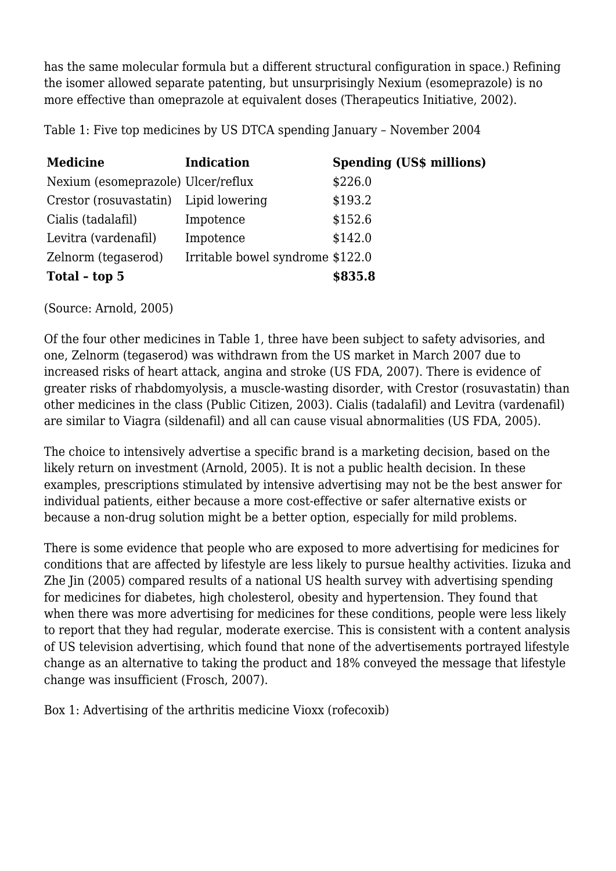has the same molecular formula but a different structural configuration in space.) Refining the isomer allowed separate patenting, but unsurprisingly Nexium (esomeprazole) is no more effective than omeprazole at equivalent doses (Therapeutics Initiative, 2002).

Table 1: Five top medicines by US DTCA spending January – November 2004

| <b>Medicine</b>                       | <b>Indication</b>                | <b>Spending (US\$ millions)</b> |
|---------------------------------------|----------------------------------|---------------------------------|
| Nexium (esomeprazole) Ulcer/reflux    |                                  | \$226.0                         |
| Crestor (rosuvastatin) Lipid lowering |                                  | \$193.2                         |
| Cialis (tadalafil)                    | Impotence                        | \$152.6                         |
| Levitra (vardenafil)                  | Impotence                        | \$142.0                         |
| Zelnorm (tegaserod)                   | Irritable bowel syndrome \$122.0 |                                 |
| Total - top 5                         |                                  | \$835.8                         |

(Source: Arnold, 2005)

Of the four other medicines in Table 1, three have been subject to safety advisories, and one, Zelnorm (tegaserod) was withdrawn from the US market in March 2007 due to increased risks of heart attack, angina and stroke (US FDA, 2007). There is evidence of greater risks of rhabdomyolysis, a muscle-wasting disorder, with Crestor (rosuvastatin) than other medicines in the class (Public Citizen, 2003). Cialis (tadalafil) and Levitra (vardenafil) are similar to Viagra (sildenafil) and all can cause visual abnormalities (US FDA, 2005).

The choice to intensively advertise a specific brand is a marketing decision, based on the likely return on investment (Arnold, 2005). It is not a public health decision. In these examples, prescriptions stimulated by intensive advertising may not be the best answer for individual patients, either because a more cost-effective or safer alternative exists or because a non-drug solution might be a better option, especially for mild problems.

There is some evidence that people who are exposed to more advertising for medicines for conditions that are affected by lifestyle are less likely to pursue healthy activities. Iizuka and Zhe Jin (2005) compared results of a national US health survey with advertising spending for medicines for diabetes, high cholesterol, obesity and hypertension. They found that when there was more advertising for medicines for these conditions, people were less likely to report that they had regular, moderate exercise. This is consistent with a content analysis of US television advertising, which found that none of the advertisements portrayed lifestyle change as an alternative to taking the product and 18% conveyed the message that lifestyle change was insufficient (Frosch, 2007).

Box 1: Advertising of the arthritis medicine Vioxx (rofecoxib)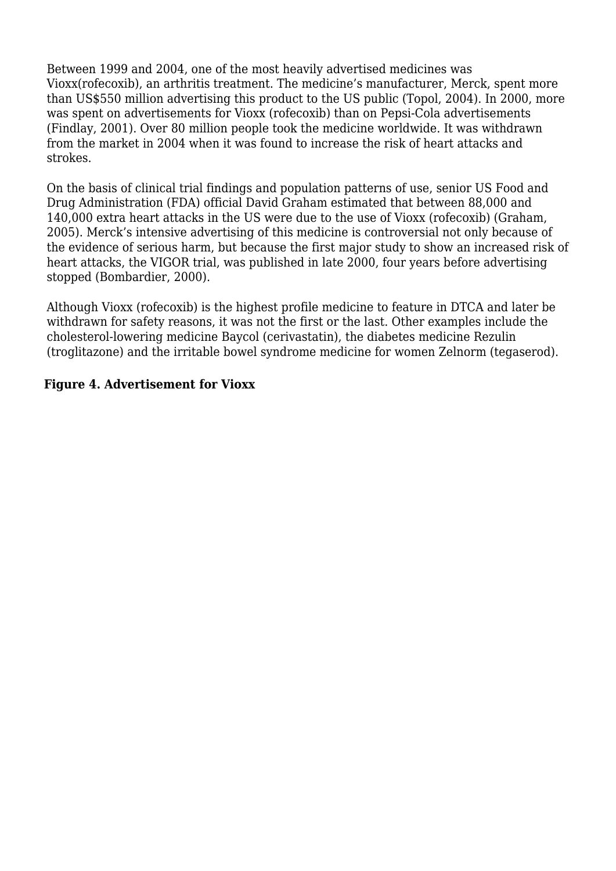Between 1999 and 2004, one of the most heavily advertised medicines was Vioxx(rofecoxib), an arthritis treatment. The medicine's manufacturer, Merck, spent more than US\$550 million advertising this product to the US public (Topol, 2004). In 2000, more was spent on advertisements for Vioxx (rofecoxib) than on Pepsi-Cola advertisements (Findlay, 2001). Over 80 million people took the medicine worldwide. It was withdrawn from the market in 2004 when it was found to increase the risk of heart attacks and strokes.

On the basis of clinical trial findings and population patterns of use, senior US Food and Drug Administration (FDA) official David Graham estimated that between 88,000 and 140,000 extra heart attacks in the US were due to the use of Vioxx (rofecoxib) (Graham, 2005). Merck's intensive advertising of this medicine is controversial not only because of the evidence of serious harm, but because the first major study to show an increased risk of heart attacks, the VIGOR trial, was published in late 2000, four years before advertising stopped (Bombardier, 2000).

Although Vioxx (rofecoxib) is the highest profile medicine to feature in DTCA and later be withdrawn for safety reasons, it was not the first or the last. Other examples include the cholesterol-lowering medicine Baycol (cerivastatin), the diabetes medicine Rezulin (troglitazone) and the irritable bowel syndrome medicine for women Zelnorm (tegaserod).

#### **Figure 4. Advertisement for Vioxx**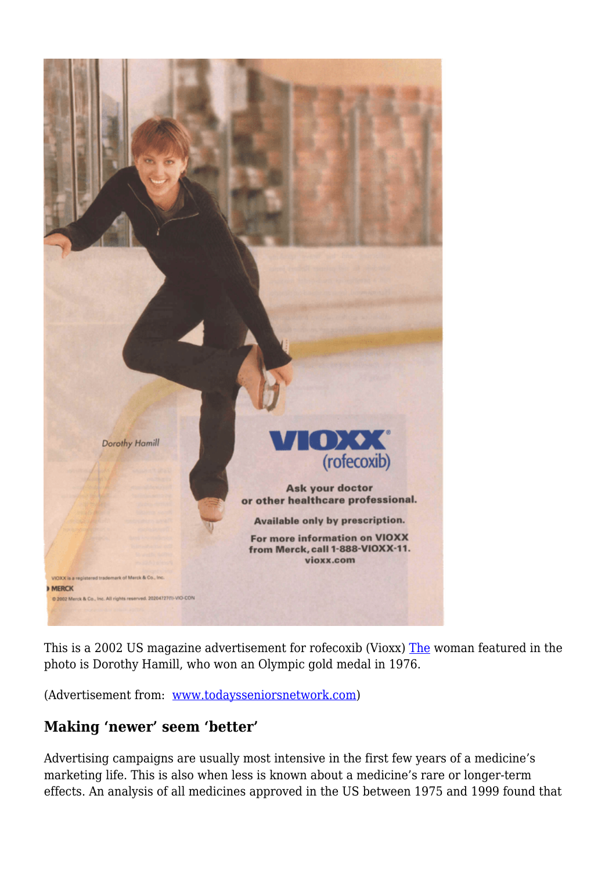

This is a 2002 US magazine advertisement for rofecoxib (Vioxx) [The](#page--1-0) woman featured in the photo is Dorothy Hamill, who won an Olympic gold medal in 1976.

(Advertisement from: [www.todaysseniorsnetwork.com](http://www.todaysseniorsnetwork.com))

### **Making 'newer' seem 'better'**

Advertising campaigns are usually most intensive in the first few years of a medicine's marketing life. This is also when less is known about a medicine's rare or longer-term effects. An analysis of all medicines approved in the US between 1975 and 1999 found that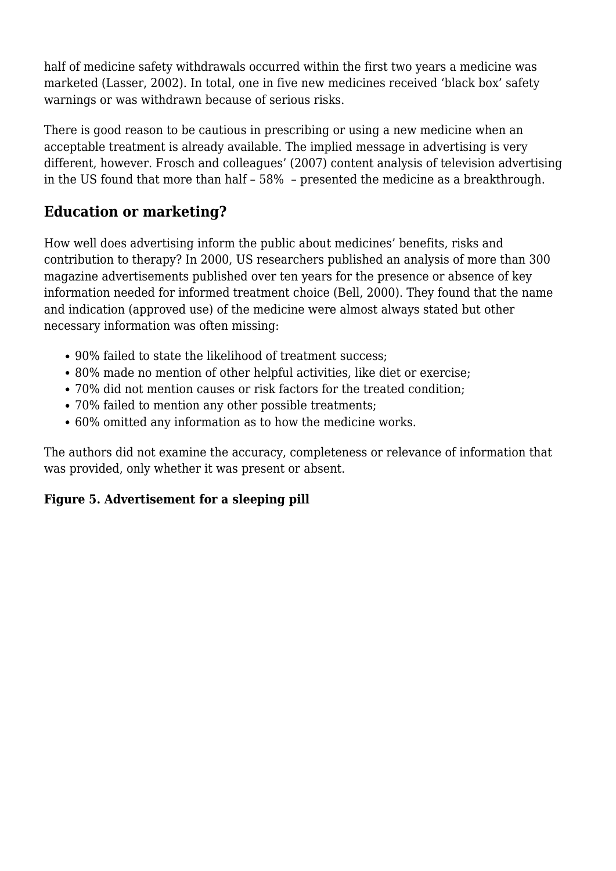half of medicine safety withdrawals occurred within the first two years a medicine was marketed (Lasser, 2002). In total, one in five new medicines received 'black box' safety warnings or was withdrawn because of serious risks.

There is good reason to be cautious in prescribing or using a new medicine when an acceptable treatment is already available. The implied message in advertising is very different, however. Frosch and colleagues' (2007) content analysis of television advertising in the US found that more than half – 58% – presented the medicine as a breakthrough.

### **Education or marketing?**

How well does advertising inform the public about medicines' benefits, risks and contribution to therapy? In 2000, US researchers published an analysis of more than 300 magazine advertisements published over ten years for the presence or absence of key information needed for informed treatment choice (Bell, 2000). They found that the name and indication (approved use) of the medicine were almost always stated but other necessary information was often missing:

- 90% failed to state the likelihood of treatment success;
- 80% made no mention of other helpful activities, like diet or exercise;
- 70% did not mention causes or risk factors for the treated condition;
- 70% failed to mention any other possible treatments;
- 60% omitted any information as to how the medicine works.

The authors did not examine the accuracy, completeness or relevance of information that was provided, only whether it was present or absent.

#### **Figure 5. Advertisement for a sleeping pill**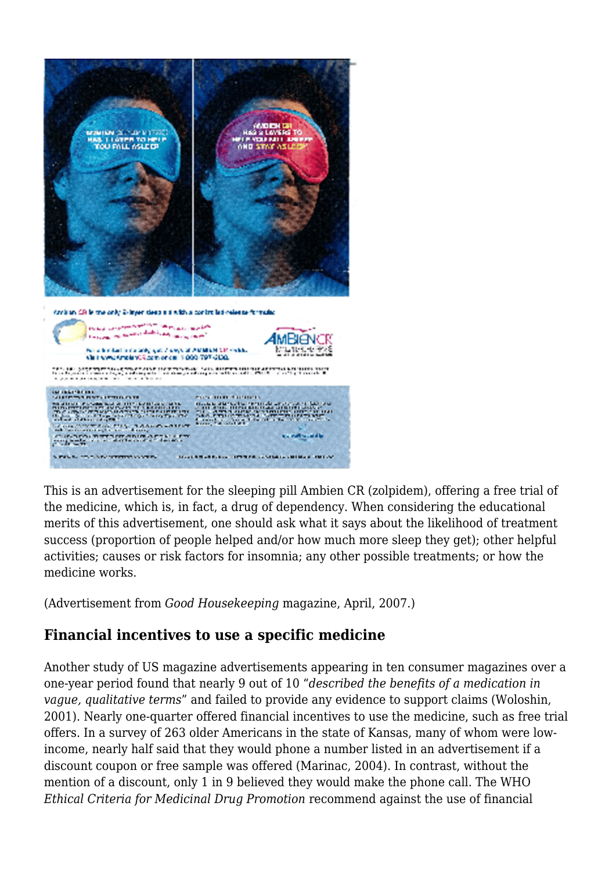

This is an advertisement for the sleeping pill Ambien CR (zolpidem), offering a free trial of the medicine, which is, in fact, a drug of dependency. When considering the educational merits of this advertisement, one should ask what it says about the likelihood of treatment success (proportion of people helped and/or how much more sleep they get); other helpful activities; causes or risk factors for insomnia; any other possible treatments; or how the medicine works.

(Advertisement from *Good Housekeeping* magazine, April, 2007.)

### **Financial incentives to use a specific medicine**

Another study of US magazine advertisements appearing in ten consumer magazines over a one-year period found that nearly 9 out of 10 "*described the benefits of a medication in vague, qualitative terms*" and failed to provide any evidence to support claims (Woloshin, 2001). Nearly one-quarter offered financial incentives to use the medicine, such as free trial offers. In a survey of 263 older Americans in the state of Kansas, many of whom were lowincome, nearly half said that they would phone a number listed in an advertisement if a discount coupon or free sample was offered (Marinac, 2004). In contrast, without the mention of a discount, only 1 in 9 believed they would make the phone call. The WHO *Ethical Criteria for Medicinal Drug Promotion* recommend against the use of financial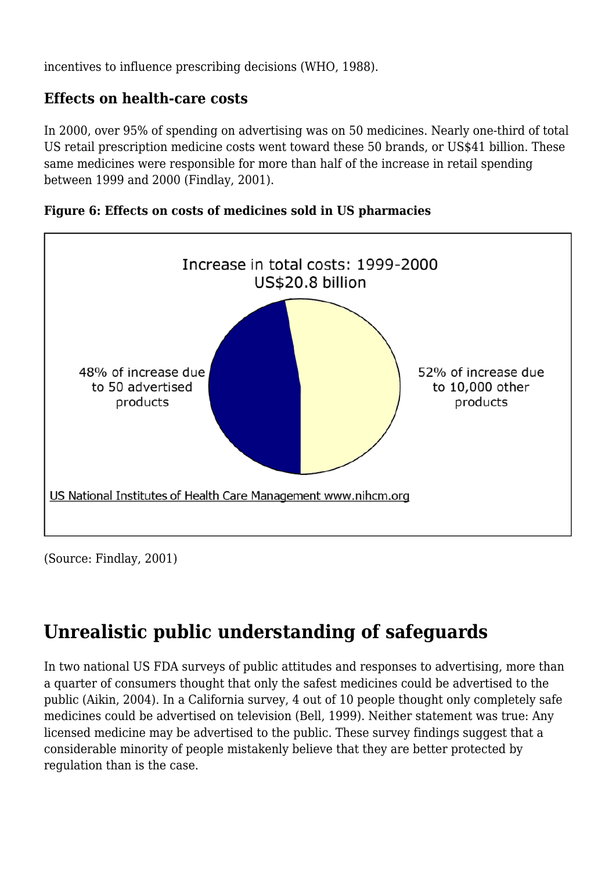incentives to influence prescribing decisions (WHO, 1988).

### **Effects on health-care costs**

In 2000, over 95% of spending on advertising was on 50 medicines. Nearly one-third of total US retail prescription medicine costs went toward these 50 brands, or US\$41 billion. These same medicines were responsible for more than half of the increase in retail spending between 1999 and 2000 (Findlay, 2001).





(Source: Findlay, 2001)

# **Unrealistic public understanding of safeguards**

In two national US FDA surveys of public attitudes and responses to advertising, more than a quarter of consumers thought that only the safest medicines could be advertised to the public (Aikin, 2004). In a California survey, 4 out of 10 people thought only completely safe medicines could be advertised on television (Bell, 1999). Neither statement was true: Any licensed medicine may be advertised to the public. These survey findings suggest that a considerable minority of people mistakenly believe that they are better protected by regulation than is the case.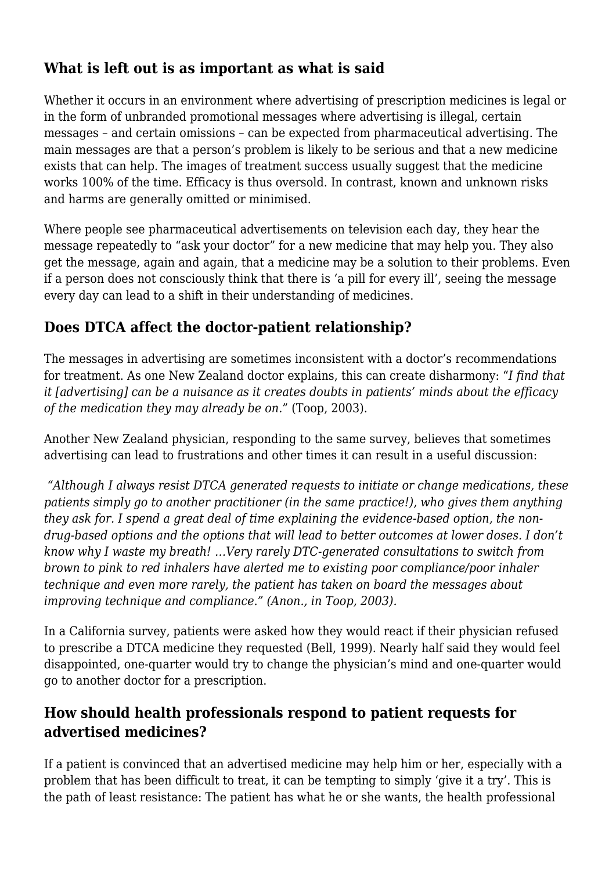### **What is left out is as important as what is said**

Whether it occurs in an environment where advertising of prescription medicines is legal or in the form of unbranded promotional messages where advertising is illegal, certain messages – and certain omissions – can be expected from pharmaceutical advertising. The main messages are that a person's problem is likely to be serious and that a new medicine exists that can help. The images of treatment success usually suggest that the medicine works 100% of the time. Efficacy is thus oversold. In contrast, known and unknown risks and harms are generally omitted or minimised.

Where people see pharmaceutical advertisements on television each day, they hear the message repeatedly to "ask your doctor" for a new medicine that may help you. They also get the message, again and again, that a medicine may be a solution to their problems. Even if a person does not consciously think that there is 'a pill for every ill', seeing the message every day can lead to a shift in their understanding of medicines.

### **Does DTCA affect the doctor-patient relationship?**

The messages in advertising are sometimes inconsistent with a doctor's recommendations for treatment. As one New Zealand doctor explains, this can create disharmony: "*I find that it [advertising] can be a nuisance as it creates doubts in patients' minds about the efficacy of the medication they may already be on.*" (Toop, 2003).

Another New Zealand physician, responding to the same survey, believes that sometimes advertising can lead to frustrations and other times it can result in a useful discussion:

*"Although I always resist DTCA generated requests to initiate or change medications, these patients simply go to another practitioner (in the same practice!), who gives them anything they ask for. I spend a great deal of time explaining the evidence-based option, the nondrug-based options and the options that will lead to better outcomes at lower doses. I don't know why I waste my breath! …Very rarely DTC-generated consultations to switch from brown to pink to red inhalers have alerted me to existing poor compliance/poor inhaler technique and even more rarely, the patient has taken on board the messages about improving technique and compliance." (Anon., in Toop, 2003).*

In a California survey, patients were asked how they would react if their physician refused to prescribe a DTCA medicine they requested (Bell, 1999). Nearly half said they would feel disappointed, one-quarter would try to change the physician's mind and one-quarter would go to another doctor for a prescription.

### **How should health professionals respond to patient requests for advertised medicines?**

If a patient is convinced that an advertised medicine may help him or her, especially with a problem that has been difficult to treat, it can be tempting to simply 'give it a try'. This is the path of least resistance: The patient has what he or she wants, the health professional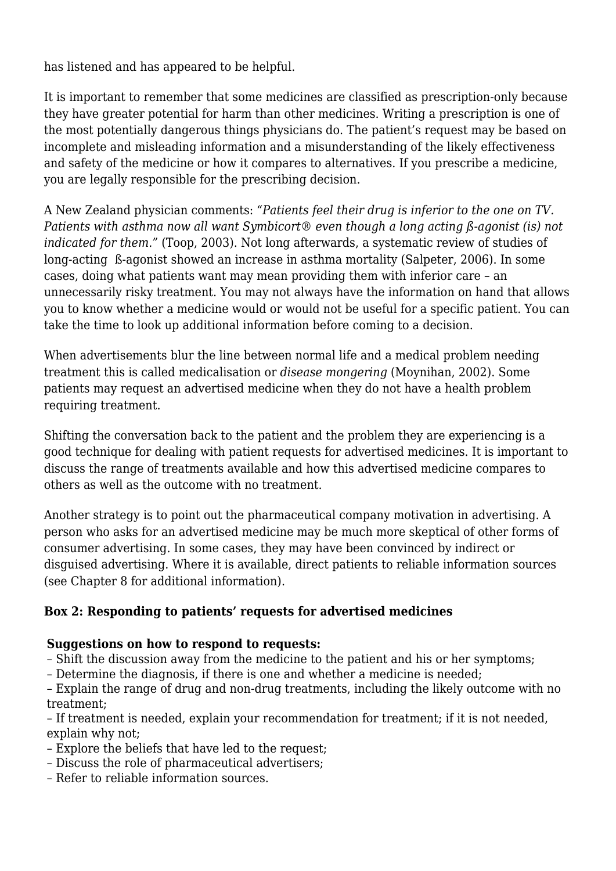has listened and has appeared to be helpful.

It is important to remember that some medicines are classified as prescription-only because they have greater potential for harm than other medicines. Writing a prescription is one of the most potentially dangerous things physicians do. The patient's request may be based on incomplete and misleading information and a misunderstanding of the likely effectiveness and safety of the medicine or how it compares to alternatives. If you prescribe a medicine, you are legally responsible for the prescribing decision.

A New Zealand physician comments: *"Patients feel their drug is inferior to the one on TV. Patients with asthma now all want Symbicort® even though a long acting ß-agonist (is) not indicated for them."* (Toop, 2003). Not long afterwards, a systematic review of studies of long-acting ß-agonist showed an increase in asthma mortality (Salpeter, 2006). In some cases, doing what patients want may mean providing them with inferior care – an unnecessarily risky treatment. You may not always have the information on hand that allows you to know whether a medicine would or would not be useful for a specific patient. You can take the time to look up additional information before coming to a decision.

When advertisements blur the line between normal life and a medical problem needing treatment this is called medicalisation or *disease mongering* (Moynihan, 2002). Some patients may request an advertised medicine when they do not have a health problem requiring treatment.

Shifting the conversation back to the patient and the problem they are experiencing is a good technique for dealing with patient requests for advertised medicines. It is important to discuss the range of treatments available and how this advertised medicine compares to others as well as the outcome with no treatment.

Another strategy is to point out the pharmaceutical company motivation in advertising. A person who asks for an advertised medicine may be much more skeptical of other forms of consumer advertising. In some cases, they may have been convinced by indirect or disguised advertising. Where it is available, direct patients to reliable information sources (see Chapter 8 for additional information).

#### **Box 2: Responding to patients' requests for advertised medicines**

#### **Suggestions on how to respond to requests:**

- Shift the discussion away from the medicine to the patient and his or her symptoms;
- Determine the diagnosis, if there is one and whether a medicine is needed;

– Explain the range of drug and non-drug treatments, including the likely outcome with no treatment;

– If treatment is needed, explain your recommendation for treatment; if it is not needed, explain why not;

- Explore the beliefs that have led to the request;
- Discuss the role of pharmaceutical advertisers;
- Refer to reliable information sources.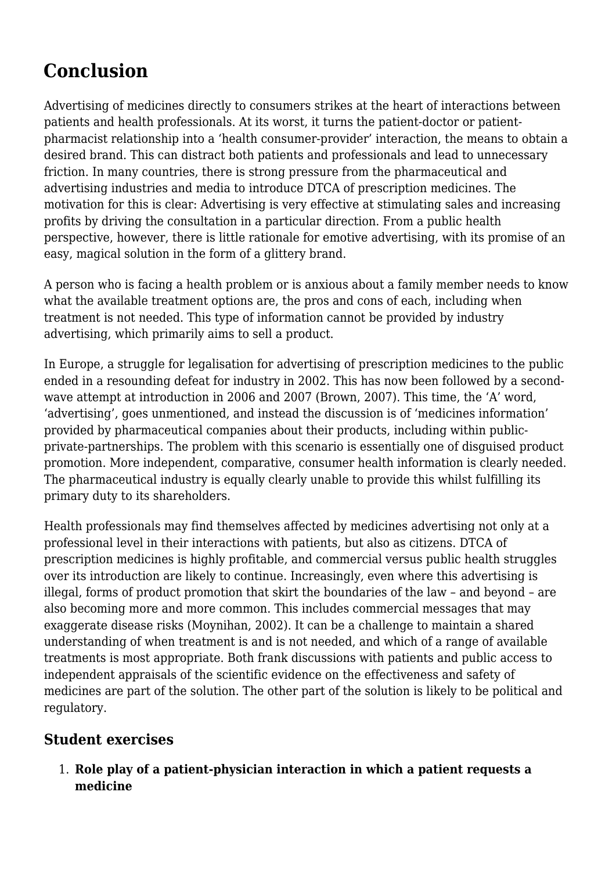# **Conclusion**

Advertising of medicines directly to consumers strikes at the heart of interactions between patients and health professionals. At its worst, it turns the patient-doctor or patientpharmacist relationship into a 'health consumer-provider' interaction, the means to obtain a desired brand. This can distract both patients and professionals and lead to unnecessary friction. In many countries, there is strong pressure from the pharmaceutical and advertising industries and media to introduce DTCA of prescription medicines. The motivation for this is clear: Advertising is very effective at stimulating sales and increasing profits by driving the consultation in a particular direction. From a public health perspective, however, there is little rationale for emotive advertising, with its promise of an easy, magical solution in the form of a glittery brand.

A person who is facing a health problem or is anxious about a family member needs to know what the available treatment options are, the pros and cons of each, including when treatment is not needed. This type of information cannot be provided by industry advertising, which primarily aims to sell a product.

In Europe, a struggle for legalisation for advertising of prescription medicines to the public ended in a resounding defeat for industry in 2002. This has now been followed by a secondwave attempt at introduction in 2006 and 2007 (Brown, 2007). This time, the 'A' word, 'advertising', goes unmentioned, and instead the discussion is of 'medicines information' provided by pharmaceutical companies about their products, including within publicprivate-partnerships. The problem with this scenario is essentially one of disguised product promotion. More independent, comparative, consumer health information is clearly needed. The pharmaceutical industry is equally clearly unable to provide this whilst fulfilling its primary duty to its shareholders.

Health professionals may find themselves affected by medicines advertising not only at a professional level in their interactions with patients, but also as citizens. DTCA of prescription medicines is highly profitable, and commercial versus public health struggles over its introduction are likely to continue. Increasingly, even where this advertising is illegal, forms of product promotion that skirt the boundaries of the law – and beyond – are also becoming more and more common. This includes commercial messages that may exaggerate disease risks (Moynihan, 2002). It can be a challenge to maintain a shared understanding of when treatment is and is not needed, and which of a range of available treatments is most appropriate. Both frank discussions with patients and public access to independent appraisals of the scientific evidence on the effectiveness and safety of medicines are part of the solution. The other part of the solution is likely to be political and regulatory.

### **Student exercises**

1. **Role play of a patient-physician interaction in which a patient requests a medicine**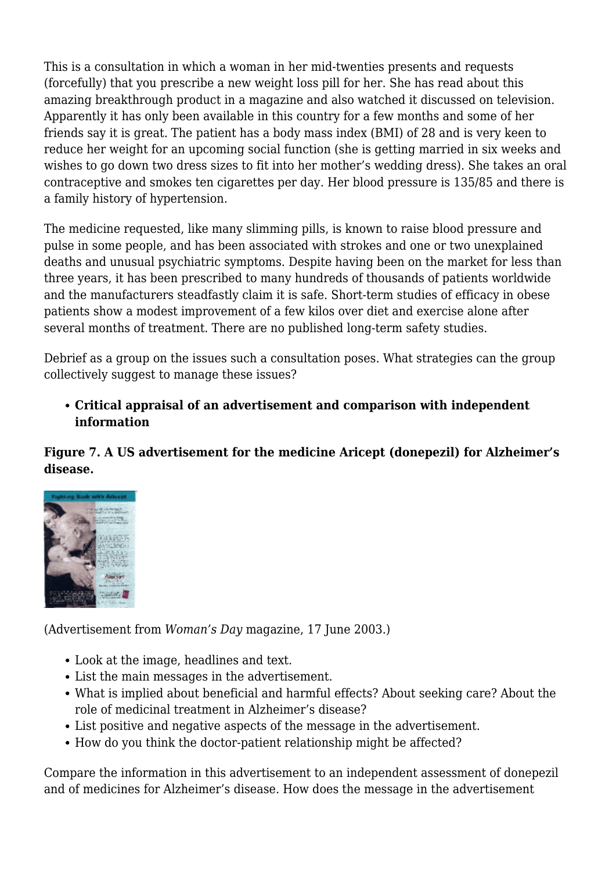This is a consultation in which a woman in her mid-twenties presents and requests (forcefully) that you prescribe a new weight loss pill for her. She has read about this amazing breakthrough product in a magazine and also watched it discussed on television. Apparently it has only been available in this country for a few months and some of her friends say it is great. The patient has a body mass index (BMI) of 28 and is very keen to reduce her weight for an upcoming social function (she is getting married in six weeks and wishes to go down two dress sizes to fit into her mother's wedding dress). She takes an oral contraceptive and smokes ten cigarettes per day. Her blood pressure is 135/85 and there is a family history of hypertension.

The medicine requested, like many slimming pills, is known to raise blood pressure and pulse in some people, and has been associated with strokes and one or two unexplained deaths and unusual psychiatric symptoms. Despite having been on the market for less than three years, it has been prescribed to many hundreds of thousands of patients worldwide and the manufacturers steadfastly claim it is safe. Short-term studies of efficacy in obese patients show a modest improvement of a few kilos over diet and exercise alone after several months of treatment. There are no published long-term safety studies.

Debrief as a group on the issues such a consultation poses. What strategies can the group collectively suggest to manage these issues?

**Critical appraisal of an advertisement and comparison with independent information**

**Figure 7. A US advertisement for the medicine Aricept (donepezil) for Alzheimer's disease.**



(Advertisement from *Woman's Day* magazine, 17 June 2003.)

- Look at the image, headlines and text.
- List the main messages in the advertisement.
- What is implied about beneficial and harmful effects? About seeking care? About the role of medicinal treatment in Alzheimer's disease?
- List positive and negative aspects of the message in the advertisement.
- How do you think the doctor-patient relationship might be affected?

Compare the information in this advertisement to an independent assessment of donepezil and of medicines for Alzheimer's disease. How does the message in the advertisement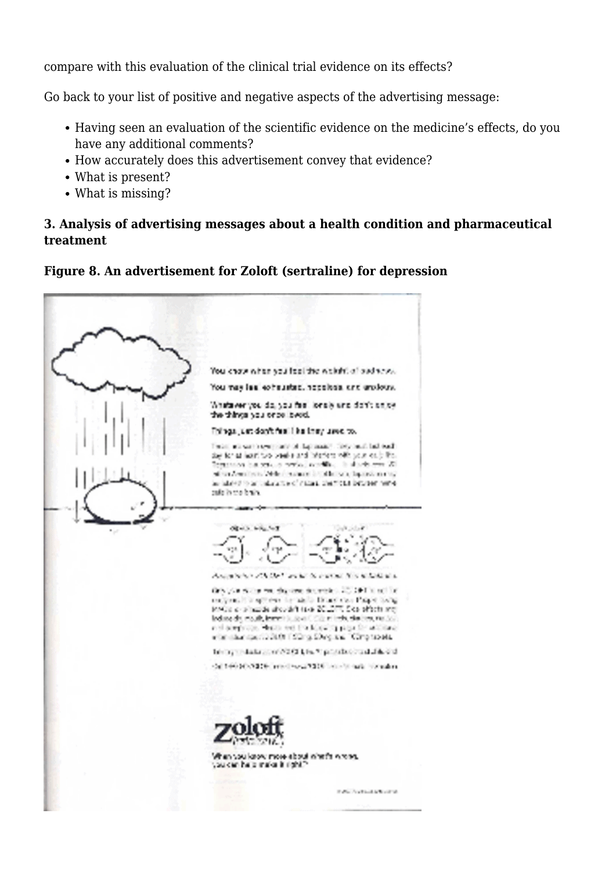compare with this evaluation of the clinical trial evidence on its effects?

Go back to your list of positive and negative aspects of the advertising message:

- Having seen an evaluation of the scientific evidence on the medicine's effects, do you have any additional comments?
- How accurately does this advertisement convey that evidence?
- What is present?
- What is missing?

#### **3. Analysis of advertising messages about a health condition and pharmaceutical treatment**

#### **Figure 8. An advertisement for Zoloft (sertraline) for depression**

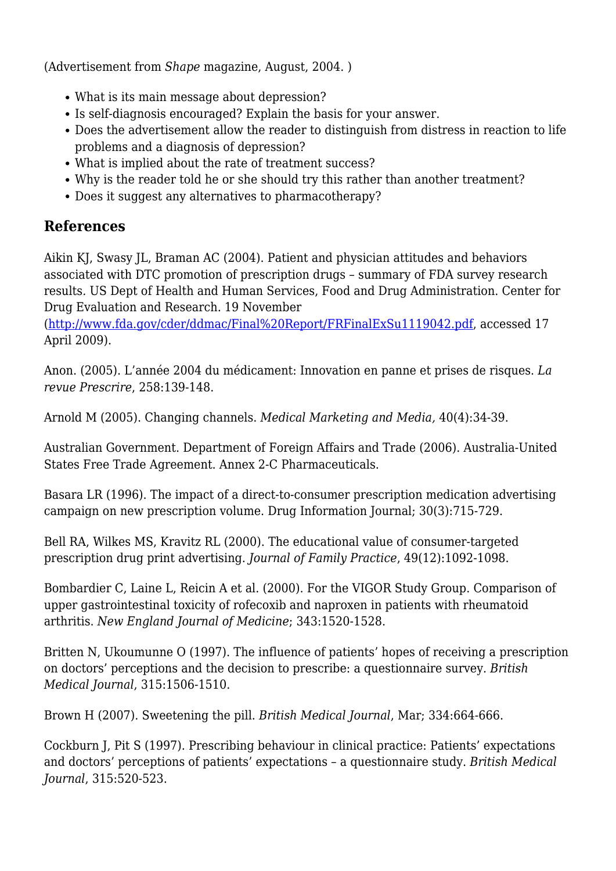(Advertisement from *Shape* magazine, August, 2004. )

- What is its main message about depression?
- Is self-diagnosis encouraged? Explain the basis for your answer.
- Does the advertisement allow the reader to distinguish from distress in reaction to life problems and a diagnosis of depression?
- What is implied about the rate of treatment success?
- Why is the reader told he or she should try this rather than another treatment?
- Does it suggest any alternatives to pharmacotherapy?

### **References**

Aikin KJ, Swasy JL, Braman AC (2004). Patient and physician attitudes and behaviors associated with DTC promotion of prescription drugs – summary of FDA survey research results*.* US Dept of Health and Human Services, Food and Drug Administration. Center for Drug Evaluation and Research. 19 November

(<http://www.fda.gov/cder/ddmac/Final%20Report/FRFinalExSu1119042.pdf>, accessed 17 April 2009).

Anon. (2005). L'année 2004 du médicament: Innovation en panne et prises de risques. *La revue Prescrire*, 258:139-148.

Arnold M (2005). Changing channels. *Medical Marketing and Media,* 40(4):34-39.

Australian Government. Department of Foreign Affairs and Trade (2006). Australia-United States Free Trade Agreement. Annex 2-C Pharmaceuticals.

Basara LR (1996). The impact of a direct-to-consumer prescription medication advertising campaign on new prescription volume. Drug Information Journal; 30(3):715-729.

Bell RA, Wilkes MS, Kravitz RL (2000). The educational value of consumer-targeted prescription drug print advertising. *Journal of Family Practice*, 49(12):1092-1098.

Bombardier C, Laine L, Reicin A et al. (2000). For the VIGOR Study Group. Comparison of upper gastrointestinal toxicity of rofecoxib and naproxen in patients with rheumatoid arthritis. *New England Journal of Medicine*; 343:1520-1528.

Britten N, Ukoumunne O (1997). The influence of patients' hopes of receiving a prescription on doctors' perceptions and the decision to prescribe: a questionnaire survey. *British Medical Journal*, 315:1506-1510.

Brown H (2007). Sweetening the pill. *British Medical Journal*, Mar; 334:664-666.

Cockburn J, Pit S (1997). Prescribing behaviour in clinical practice: Patients' expectations and doctors' perceptions of patients' expectations – a questionnaire study. *British Medical Journal*, 315:520-523.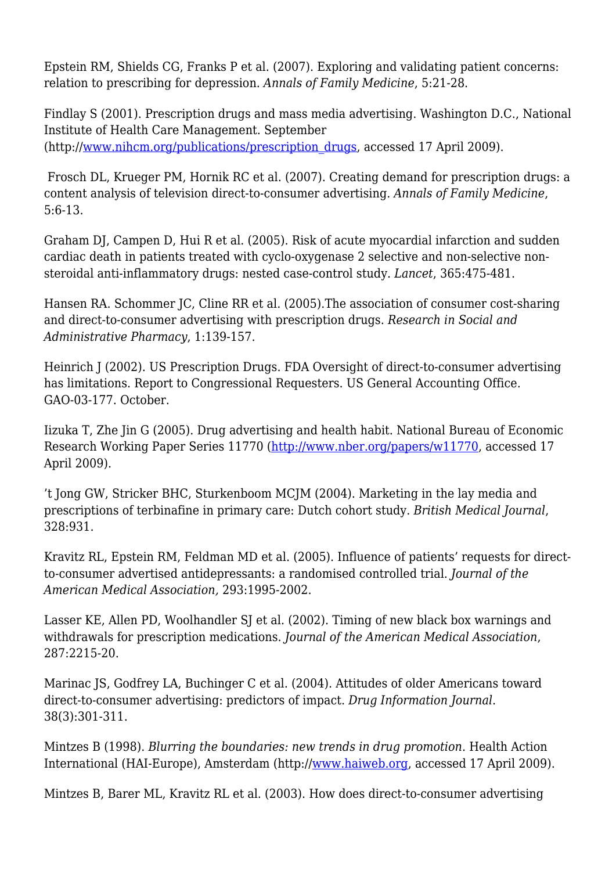Epstein RM, Shields CG, Franks P et al. (2007). Exploring and validating patient concerns: relation to prescribing for depression. *Annals of Family Medicine*, 5:21-28.

Findlay S (2001). Prescription drugs and mass media advertising. Washington D.C., National Institute of Health Care Management. September (http:/[/www.nihcm.org/publications/prescription\\_drugs,](http://www.nihcm.org/publications/prescription_drugs) accessed 17 April 2009).

 Frosch DL, Krueger PM, Hornik RC et al. (2007). Creating demand for prescription drugs: a content analysis of television direct-to-consumer advertising. *Annals of Family Medicine*, 5:6-13.

Graham DJ, Campen D, Hui R et al. (2005). Risk of acute myocardial infarction and sudden cardiac death in patients treated with cyclo-oxygenase 2 selective and non-selective nonsteroidal anti-inflammatory drugs: nested case-control study. *Lancet*, 365:475-481.

Hansen RA. Schommer JC, Cline RR et al. (2005).The association of consumer cost-sharing and direct-to-consumer advertising with prescription drugs. *Research in Social and Administrative Pharmacy*, 1:139-157.

Heinrich J (2002). US Prescription Drugs. FDA Oversight of direct-to-consumer advertising has limitations. Report to Congressional Requesters. US General Accounting Office. GAO-03-177. October.

Iizuka T, Zhe Jin G (2005). Drug advertising and health habit. National Bureau of Economic Research Working Paper Series 11770 [\(http://www.nber.org/papers/w11770,](http://www.nber.org/papers/w11770) accessed 17 April 2009).

't Jong GW, Stricker BHC, Sturkenboom MCJM (2004). Marketing in the lay media and prescriptions of terbinafine in primary care: Dutch cohort study. *British Medical Journal*, 328:931.

Kravitz RL, Epstein RM, Feldman MD et al. (2005). Influence of patients' requests for directto-consumer advertised antidepressants: a randomised controlled trial. *Journal of the American Medical Association,* 293:1995-2002.

Lasser KE, Allen PD, Woolhandler SJ et al. (2002). Timing of new black box warnings and withdrawals for prescription medications. *Journal of the American Medical Association*, 287:2215-20.

Marinac JS, Godfrey LA, Buchinger C et al. (2004). Attitudes of older Americans toward direct-to-consumer advertising: predictors of impact. *Drug Information Journal*. 38(3):301-311.

Mintzes B (1998). *Blurring the boundaries: new trends in drug promotion*. Health Action International (HAI-Europe), Amsterdam (http://[www.haiweb.org](http://www.haiweb.org), accessed 17 April 2009).

Mintzes B, Barer ML, Kravitz RL et al. (2003). How does direct-to-consumer advertising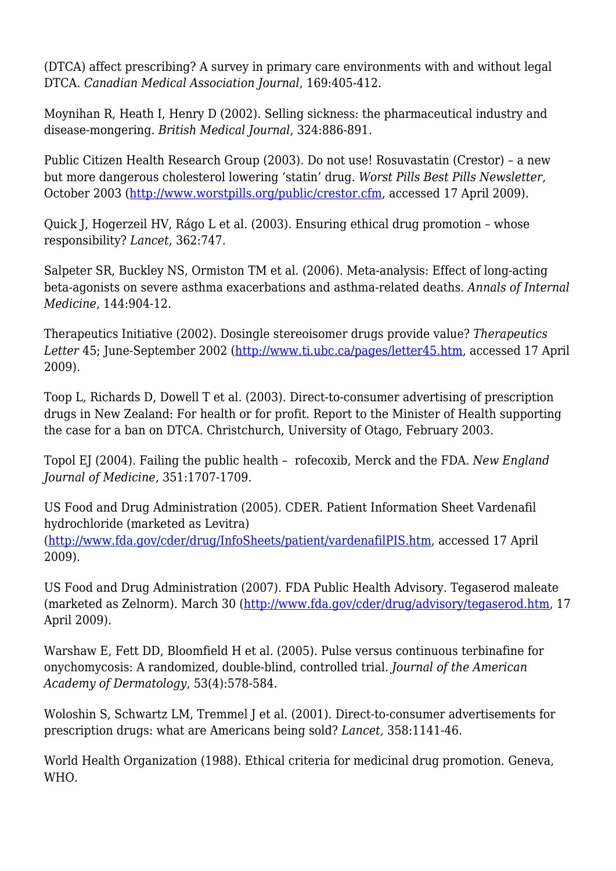(DTCA) affect prescribing? A survey in primary care environments with and without legal DTCA. *Canadian Medical Association Journal*, 169:405-412.

Moynihan R, Heath I, Henry D (2002). Selling sickness: the pharmaceutical industry and disease-mongering. *British Medical Journal*, 324:886-891.

Public Citizen Health Research Group (2003). Do not use! Rosuvastatin (Crestor) – a new but more dangerous cholesterol lowering 'statin' drug. *Worst Pills Best Pills Newsletter*, October 2003 [\(http://www.worstpills.org/public/crestor.cfm](http://www.worstpills.org/public/crestor.cfm), accessed 17 April 2009).

Quick J, Hogerzeil HV, Rágo L et al. (2003). Ensuring ethical drug promotion – whose responsibility? *Lancet*, 362:747.

Salpeter SR, Buckley NS, Ormiston TM et al. (2006). Meta-analysis: Effect of long-acting beta-agonists on severe asthma exacerbations and asthma-related deaths. *Annals of Internal Medicine*, 144:904-12.

Therapeutics Initiative (2002). Dosingle stereoisomer drugs provide value? *Therapeutics Letter* 45; June-September 2002 [\(http://www.ti.ubc.ca/pages/letter45.htm](http://www.ti.ubc.ca/pages/letter45.htm), accessed 17 April 2009).

Toop L, Richards D, Dowell T et al. (2003). Direct-to-consumer advertising of prescription drugs in New Zealand: For health or for profit. Report to the Minister of Health supporting the case for a ban on DTCA. Christchurch, University of Otago, February 2003.

Topol EJ (2004). Failing the public health – rofecoxib, Merck and the FDA. *New England Journal of Medicine*, 351:1707-1709.

US Food and Drug Administration (2005). CDER. Patient Information Sheet Vardenafil hydrochloride (marketed as Levitra) ([http://www.fda.gov/cder/drug/InfoSheets/patient/vardenafilPIS.htm,](http://www.fda.gov/cder/drug/InfoSheets/patient/vardenafilPIS.htm) accessed 17 April 2009).

US Food and Drug Administration (2007). FDA Public Health Advisory. Tegaserod maleate (marketed as Zelnorm). March 30 (<http://www.fda.gov/cder/drug/advisory/tegaserod.htm>, 17 April 2009).

Warshaw E, Fett DD, Bloomfield H et al. (2005). Pulse versus continuous terbinafine for onychomycosis: A randomized, double-blind, controlled trial. *Journal of the American Academy of Dermatology*, 53(4):578-584.

Woloshin S, Schwartz LM, Tremmel J et al. (2001). Direct-to-consumer advertisements for prescription drugs: what are Americans being sold? *Lancet,* 358:1141-46.

World Health Organization (1988). Ethical criteria for medicinal drug promotion. Geneva, WHO.